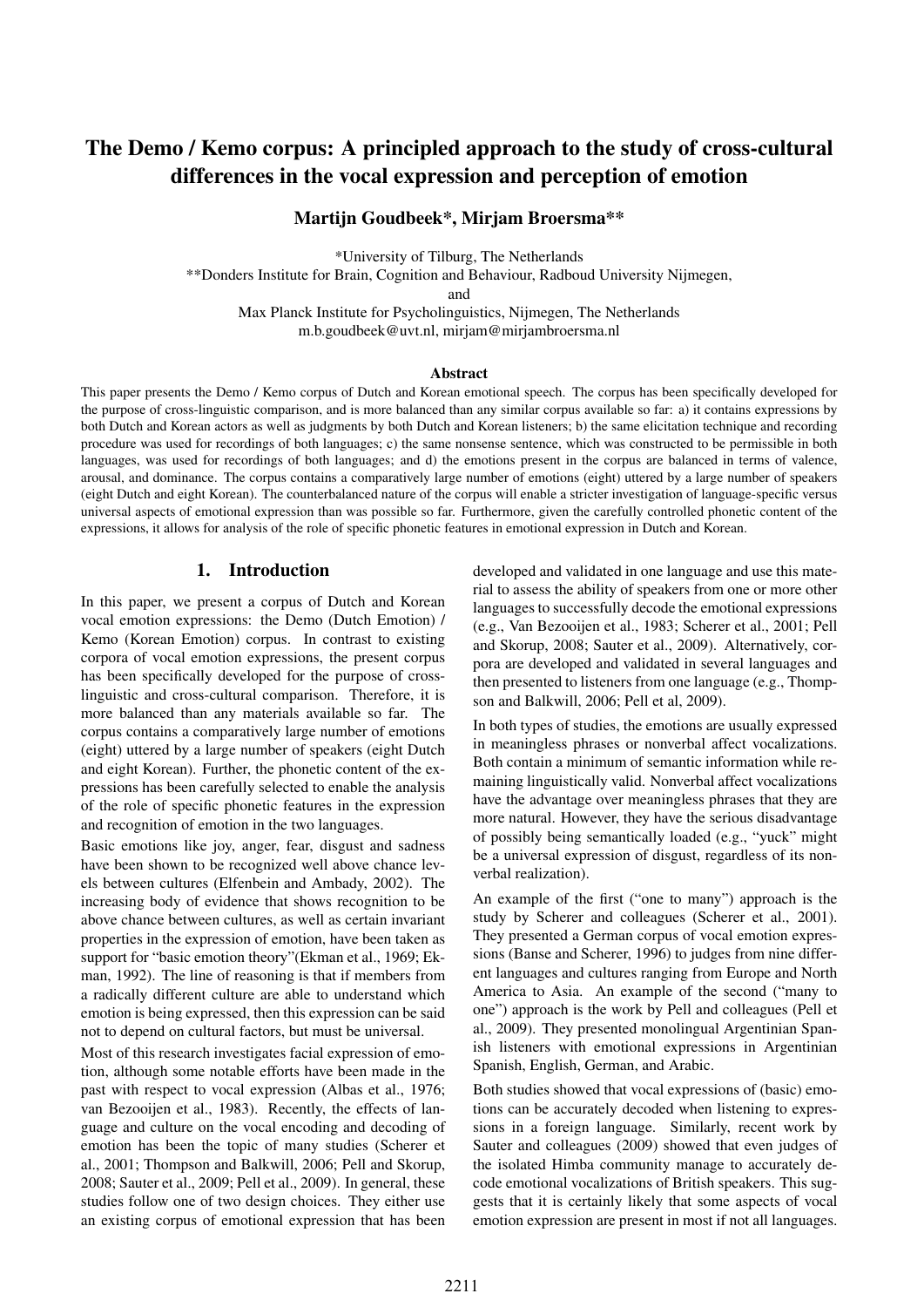# The Demo / Kemo corpus: A principled approach to the study of cross-cultural differences in the vocal expression and perception of emotion

Martijn Goudbeek\*, Mirjam Broersma\*\*

\*University of Tilburg, The Netherlands

\*\*Donders Institute for Brain, Cognition and Behaviour, Radboud University Nijmegen,

and

Max Planck Institute for Psycholinguistics, Nijmegen, The Netherlands m.b.goudbeek@uvt.nl, mirjam@mirjambroersma.nl

#### Abstract

This paper presents the Demo / Kemo corpus of Dutch and Korean emotional speech. The corpus has been specifically developed for the purpose of cross-linguistic comparison, and is more balanced than any similar corpus available so far: a) it contains expressions by both Dutch and Korean actors as well as judgments by both Dutch and Korean listeners; b) the same elicitation technique and recording procedure was used for recordings of both languages; c) the same nonsense sentence, which was constructed to be permissible in both languages, was used for recordings of both languages; and d) the emotions present in the corpus are balanced in terms of valence, arousal, and dominance. The corpus contains a comparatively large number of emotions (eight) uttered by a large number of speakers (eight Dutch and eight Korean). The counterbalanced nature of the corpus will enable a stricter investigation of language-specific versus universal aspects of emotional expression than was possible so far. Furthermore, given the carefully controlled phonetic content of the expressions, it allows for analysis of the role of specific phonetic features in emotional expression in Dutch and Korean.

### 1. Introduction

In this paper, we present a corpus of Dutch and Korean vocal emotion expressions: the Demo (Dutch Emotion) / Kemo (Korean Emotion) corpus. In contrast to existing corpora of vocal emotion expressions, the present corpus has been specifically developed for the purpose of crosslinguistic and cross-cultural comparison. Therefore, it is more balanced than any materials available so far. The corpus contains a comparatively large number of emotions (eight) uttered by a large number of speakers (eight Dutch and eight Korean). Further, the phonetic content of the expressions has been carefully selected to enable the analysis of the role of specific phonetic features in the expression and recognition of emotion in the two languages.

Basic emotions like joy, anger, fear, disgust and sadness have been shown to be recognized well above chance levels between cultures (Elfenbein and Ambady, 2002). The increasing body of evidence that shows recognition to be above chance between cultures, as well as certain invariant properties in the expression of emotion, have been taken as support for "basic emotion theory"(Ekman et al., 1969; Ekman, 1992). The line of reasoning is that if members from a radically different culture are able to understand which emotion is being expressed, then this expression can be said not to depend on cultural factors, but must be universal.

Most of this research investigates facial expression of emotion, although some notable efforts have been made in the past with respect to vocal expression (Albas et al., 1976; van Bezooijen et al., 1983). Recently, the effects of language and culture on the vocal encoding and decoding of emotion has been the topic of many studies (Scherer et al., 2001; Thompson and Balkwill, 2006; Pell and Skorup, 2008; Sauter et al., 2009; Pell et al., 2009). In general, these studies follow one of two design choices. They either use an existing corpus of emotional expression that has been developed and validated in one language and use this material to assess the ability of speakers from one or more other languages to successfully decode the emotional expressions (e.g., Van Bezooijen et al., 1983; Scherer et al., 2001; Pell and Skorup, 2008; Sauter et al., 2009). Alternatively, corpora are developed and validated in several languages and then presented to listeners from one language (e.g., Thompson and Balkwill, 2006; Pell et al, 2009).

In both types of studies, the emotions are usually expressed in meaningless phrases or nonverbal affect vocalizations. Both contain a minimum of semantic information while remaining linguistically valid. Nonverbal affect vocalizations have the advantage over meaningless phrases that they are more natural. However, they have the serious disadvantage of possibly being semantically loaded (e.g., "yuck" might be a universal expression of disgust, regardless of its nonverbal realization).

An example of the first ("one to many") approach is the study by Scherer and colleagues (Scherer et al., 2001). They presented a German corpus of vocal emotion expressions (Banse and Scherer, 1996) to judges from nine different languages and cultures ranging from Europe and North America to Asia. An example of the second ("many to one") approach is the work by Pell and colleagues (Pell et al., 2009). They presented monolingual Argentinian Spanish listeners with emotional expressions in Argentinian Spanish, English, German, and Arabic.

Both studies showed that vocal expressions of (basic) emotions can be accurately decoded when listening to expressions in a foreign language. Similarly, recent work by Sauter and colleagues (2009) showed that even judges of the isolated Himba community manage to accurately decode emotional vocalizations of British speakers. This suggests that it is certainly likely that some aspects of vocal emotion expression are present in most if not all languages.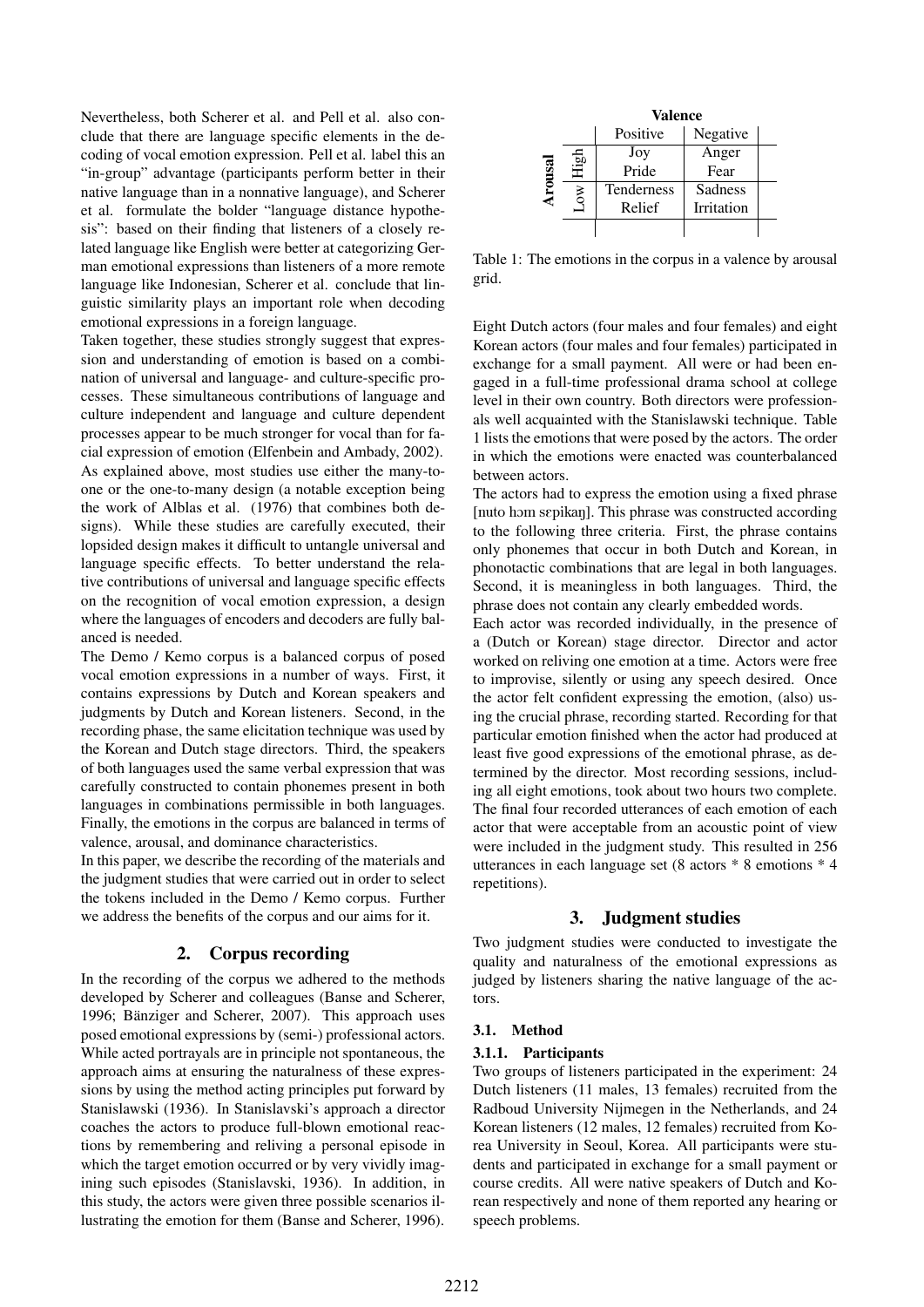Nevertheless, both Scherer et al. and Pell et al. also conclude that there are language specific elements in the decoding of vocal emotion expression. Pell et al. label this an "in-group" advantage (participants perform better in their native language than in a nonnative language), and Scherer et al. formulate the bolder "language distance hypothesis": based on their finding that listeners of a closely related language like English were better at categorizing German emotional expressions than listeners of a more remote language like Indonesian, Scherer et al. conclude that linguistic similarity plays an important role when decoding emotional expressions in a foreign language.

Taken together, these studies strongly suggest that expression and understanding of emotion is based on a combination of universal and language- and culture-specific processes. These simultaneous contributions of language and culture independent and language and culture dependent processes appear to be much stronger for vocal than for facial expression of emotion (Elfenbein and Ambady, 2002). As explained above, most studies use either the many-toone or the one-to-many design (a notable exception being the work of Alblas et al. (1976) that combines both designs). While these studies are carefully executed, their lopsided design makes it difficult to untangle universal and language specific effects. To better understand the relative contributions of universal and language specific effects on the recognition of vocal emotion expression, a design where the languages of encoders and decoders are fully balanced is needed.

The Demo / Kemo corpus is a balanced corpus of posed vocal emotion expressions in a number of ways. First, it contains expressions by Dutch and Korean speakers and judgments by Dutch and Korean listeners. Second, in the recording phase, the same elicitation technique was used by the Korean and Dutch stage directors. Third, the speakers of both languages used the same verbal expression that was carefully constructed to contain phonemes present in both languages in combinations permissible in both languages. Finally, the emotions in the corpus are balanced in terms of valence, arousal, and dominance characteristics.

In this paper, we describe the recording of the materials and the judgment studies that were carried out in order to select the tokens included in the Demo / Kemo corpus. Further we address the benefits of the corpus and our aims for it.

## 2. Corpus recording

In the recording of the corpus we adhered to the methods developed by Scherer and colleagues (Banse and Scherer, 1996; Bänziger and Scherer, 2007). This approach uses posed emotional expressions by (semi-) professional actors. While acted portrayals are in principle not spontaneous, the approach aims at ensuring the naturalness of these expressions by using the method acting principles put forward by Stanislawski (1936). In Stanislavski's approach a director coaches the actors to produce full-blown emotional reactions by remembering and reliving a personal episode in which the target emotion occurred or by very vividly imagining such episodes (Stanislavski, 1936). In addition, in this study, the actors were given three possible scenarios illustrating the emotion for them (Banse and Scherer, 1996).

|              |      | <b>Valence</b>    |            |  |  |  |  |
|--------------|------|-------------------|------------|--|--|--|--|
|              |      | Positive          | Negative   |  |  |  |  |
| <b>csno.</b> | igi. | Joy               | Anger      |  |  |  |  |
|              |      | Pride             | Fear       |  |  |  |  |
|              | ξ    | <b>Tenderness</b> | Sadness    |  |  |  |  |
|              |      | Relief            | Irritation |  |  |  |  |
|              |      |                   |            |  |  |  |  |

Table 1: The emotions in the corpus in a valence by arousal grid.

Eight Dutch actors (four males and four females) and eight Korean actors (four males and four females) participated in exchange for a small payment. All were or had been engaged in a full-time professional drama school at college level in their own country. Both directors were professionals well acquainted with the Stanislawski technique. Table 1 lists the emotions that were posed by the actors. The order in which the emotions were enacted was counterbalanced between actors.

The actors had to express the emotion using a fixed phrase [nuto hom sepikan]. This phrase was constructed according to the following three criteria. First, the phrase contains only phonemes that occur in both Dutch and Korean, in phonotactic combinations that are legal in both languages. Second, it is meaningless in both languages. Third, the phrase does not contain any clearly embedded words.

Each actor was recorded individually, in the presence of a (Dutch or Korean) stage director. Director and actor worked on reliving one emotion at a time. Actors were free to improvise, silently or using any speech desired. Once the actor felt confident expressing the emotion, (also) using the crucial phrase, recording started. Recording for that particular emotion finished when the actor had produced at least five good expressions of the emotional phrase, as determined by the director. Most recording sessions, including all eight emotions, took about two hours two complete. The final four recorded utterances of each emotion of each actor that were acceptable from an acoustic point of view were included in the judgment study. This resulted in 256 utterances in each language set (8 actors \* 8 emotions \* 4 repetitions).

## 3. Judgment studies

Two judgment studies were conducted to investigate the quality and naturalness of the emotional expressions as judged by listeners sharing the native language of the actors.

### 3.1. Method

### 3.1.1. Participants

Two groups of listeners participated in the experiment: 24 Dutch listeners (11 males, 13 females) recruited from the Radboud University Nijmegen in the Netherlands, and 24 Korean listeners (12 males, 12 females) recruited from Korea University in Seoul, Korea. All participants were students and participated in exchange for a small payment or course credits. All were native speakers of Dutch and Korean respectively and none of them reported any hearing or speech problems.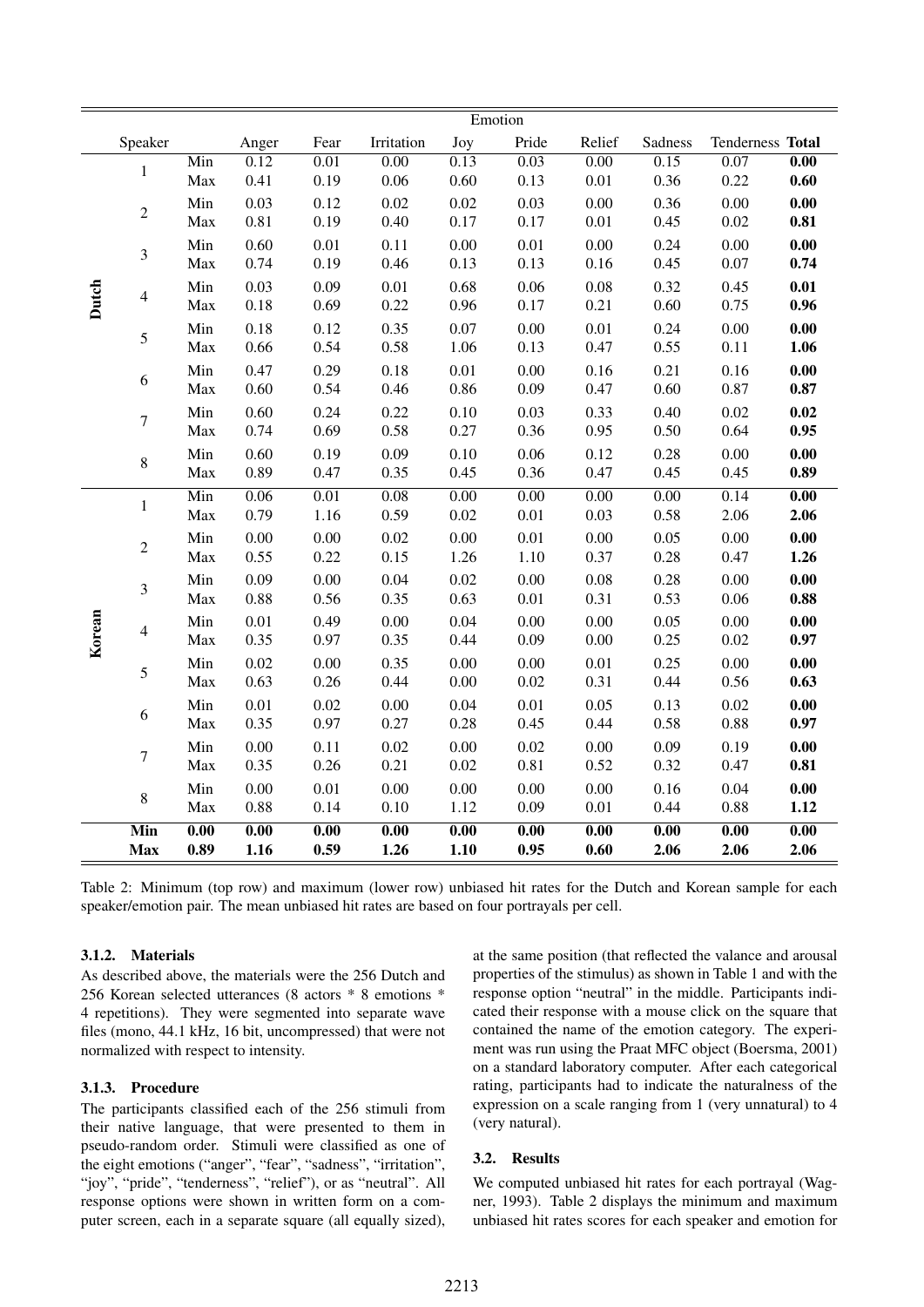|        |                  | Emotion           |                   |                   |                   |                   |                   |                   |                   |                   |                     |
|--------|------------------|-------------------|-------------------|-------------------|-------------------|-------------------|-------------------|-------------------|-------------------|-------------------|---------------------|
|        | Speaker          |                   | Anger             | Fear              | Irritation        | Joy               | Pride             | Relief            | Sadness           | Tenderness Total  |                     |
| Dutch  | $\mathbf{1}$     | Min               | 0.12              | 0.01              | 0.00              | 0.13              | 0.03              | 0.00              | 0.15              | 0.07              | $\overline{0.00}$   |
|        |                  | Max               | 0.41              | 0.19              | $0.06\,$          | 0.60              | 0.13              | $0.01\,$          | 0.36              | 0.22              | 0.60                |
|        | $\overline{c}$   | Min               | 0.03              | 0.12              | 0.02              | 0.02              | 0.03              | 0.00              | 0.36              | 0.00              | 0.00                |
|        | $\mathfrak{Z}$   | Max               | 0.81              | 0.19              | 0.40              | 0.17              | 0.17              | $0.01\,$          | 0.45              | 0.02              | 0.81                |
|        |                  | Min<br>Max        | 0.60<br>0.74      | 0.01<br>0.19      | 0.11<br>0.46      | 0.00<br>0.13      | 0.01<br>0.13      | 0.00<br>0.16      | 0.24<br>0.45      | 0.00<br>0.07      | 0.00<br>0.74        |
|        | 4                | Min               | 0.03              | 0.09              | 0.01              | 0.68              | 0.06              | 0.08              | 0.32              | 0.45              | 0.01                |
|        |                  | Max               | 0.18              | 0.69              | 0.22              | 0.96              | 0.17              | 0.21              | 0.60              | 0.75              | 0.96                |
|        | 5                | Min               | 0.18              | 0.12              | 0.35              | 0.07              | 0.00              | 0.01              | 0.24              | 0.00              | $\boldsymbol{0.00}$ |
|        |                  | Max               | 0.66              | 0.54              | 0.58              | 1.06              | 0.13              | 0.47              | 0.55              | 0.11              | 1.06                |
|        | 6                | Min               | 0.47              | 0.29              | $0.18\,$          | $0.01\,$          | 0.00              | 0.16              | 0.21              | 0.16              | $\boldsymbol{0.00}$ |
|        |                  | Max               | 0.60              | 0.54              | 0.46              | 0.86              | 0.09              | 0.47              | 0.60              | 0.87              | 0.87                |
|        | $\boldsymbol{7}$ | Min               | 0.60              | 0.24              | 0.22              | 0.10              | 0.03              | 0.33              | 0.40              | 0.02              | 0.02                |
|        |                  | Max               | 0.74              | 0.69              | 0.58              | 0.27              | 0.36              | 0.95              | 0.50              | 0.64              | 0.95                |
|        | $\,8\,$          | Min               | 0.60              | 0.19              | 0.09              | 0.10              | 0.06              | 0.12              | 0.28              | 0.00              | $\boldsymbol{0.00}$ |
|        |                  | Max               | 0.89              | 0.47              | 0.35              | 0.45              | 0.36              | 0.47              | 0.45              | 0.45              | 0.89                |
| Korean | $\,1$            | Min               | 0.06              | 0.01              | 0.08              | 0.00              | 0.00              | 0.00              | 0.00              | 0.14              | $\overline{0.00}$   |
|        |                  | Max               | 0.79              | 1.16              | 0.59              | 0.02              | 0.01              | 0.03              | 0.58              | 2.06              | 2.06                |
|        | $\overline{c}$   | Min<br>Max        | 0.00<br>0.55      | 0.00<br>0.22      | 0.02<br>0.15      | 0.00<br>1.26      | 0.01<br>1.10      | 0.00<br>0.37      | 0.05<br>0.28      | 0.00<br>0.47      | 0.00<br>1.26        |
|        |                  | Min               | 0.09              | 0.00              | 0.04              | 0.02              |                   | 0.08              |                   | 0.00              | 0.00                |
|        | $\mathfrak{Z}$   | Max               | 0.88              | 0.56              | 0.35              | 0.63              | 0.00<br>0.01      | 0.31              | 0.28<br>0.53      | 0.06              | 0.88                |
|        |                  | Min               | 0.01              | 0.49              | $0.00\,$          | 0.04              | 0.00              | 0.00              | 0.05              | 0.00              | 0.00                |
|        | 4                | Max               | 0.35              | 0.97              | 0.35              | 0.44              | 0.09              | 0.00              | 0.25              | 0.02              | 0.97                |
|        | 5                | Min               | 0.02              | 0.00              | 0.35              | 0.00              | 0.00              | $0.01\,$          | 0.25              | $0.00\,$          | $\boldsymbol{0.00}$ |
|        |                  | Max               | 0.63              | 0.26              | 0.44              | $0.00\,$          | 0.02              | 0.31              | 0.44              | 0.56              | 0.63                |
|        | 6                | Min               | 0.01              | 0.02              | $0.00\,$          | 0.04              | 0.01              | 0.05              | 0.13              | 0.02              | $\boldsymbol{0.00}$ |
|        |                  | Max               | 0.35              | 0.97              | 0.27              | 0.28              | 0.45              | 0.44              | 0.58              | 0.88              | 0.97                |
|        | $\boldsymbol{7}$ | Min               | 0.00              | 0.11              | 0.02              | 0.00              | 0.02              | $0.00\,$          | 0.09              | 0.19              | $\boldsymbol{0.00}$ |
|        |                  | Max               | 0.35              | 0.26              | 0.21              | 0.02              | $0.81\,$          | 0.52              | 0.32              | 0.47              | 0.81                |
|        | $\,8\,$          | Min               | 0.00              | 0.01              | $0.00\,$          | 0.00              | 0.00              | 0.00              | 0.16              | 0.04              | $\boldsymbol{0.00}$ |
|        |                  | Max               | 0.88              | 0.14              | $0.10\,$          | 1.12              | 0.09              | 0.01              | 0.44              | 0.88              | 1.12                |
|        | Min              | $\overline{0.00}$ | $\overline{0.00}$ | $\overline{0.00}$ | $\overline{0.00}$ | $\overline{0.00}$ | $\overline{0.00}$ | $\overline{0.00}$ | $\overline{0.00}$ | $\overline{0.00}$ | $\overline{0.00}$   |
|        | <b>Max</b>       | 0.89              | 1.16              | 0.59              | 1.26              | 1.10              | 0.95              | 0.60              | 2.06              | 2.06              | 2.06                |

Table 2: Minimum (top row) and maximum (lower row) unbiased hit rates for the Dutch and Korean sample for each speaker/emotion pair. The mean unbiased hit rates are based on four portrayals per cell.

#### 3.1.2. Materials

As described above, the materials were the 256 Dutch and 256 Korean selected utterances (8 actors \* 8 emotions \* 4 repetitions). They were segmented into separate wave files (mono, 44.1 kHz, 16 bit, uncompressed) that were not normalized with respect to intensity.

#### 3.1.3. Procedure

The participants classified each of the 256 stimuli from their native language, that were presented to them in pseudo-random order. Stimuli were classified as one of the eight emotions ("anger", "fear", "sadness", "irritation", "joy", "pride", "tenderness", "relief"), or as "neutral". All response options were shown in written form on a computer screen, each in a separate square (all equally sized), at the same position (that reflected the valance and arousal properties of the stimulus) as shown in Table 1 and with the response option "neutral" in the middle. Participants indicated their response with a mouse click on the square that contained the name of the emotion category. The experiment was run using the Praat MFC object (Boersma, 2001) on a standard laboratory computer. After each categorical rating, participants had to indicate the naturalness of the expression on a scale ranging from 1 (very unnatural) to 4 (very natural).

#### 3.2. Results

We computed unbiased hit rates for each portrayal (Wagner, 1993). Table 2 displays the minimum and maximum unbiased hit rates scores for each speaker and emotion for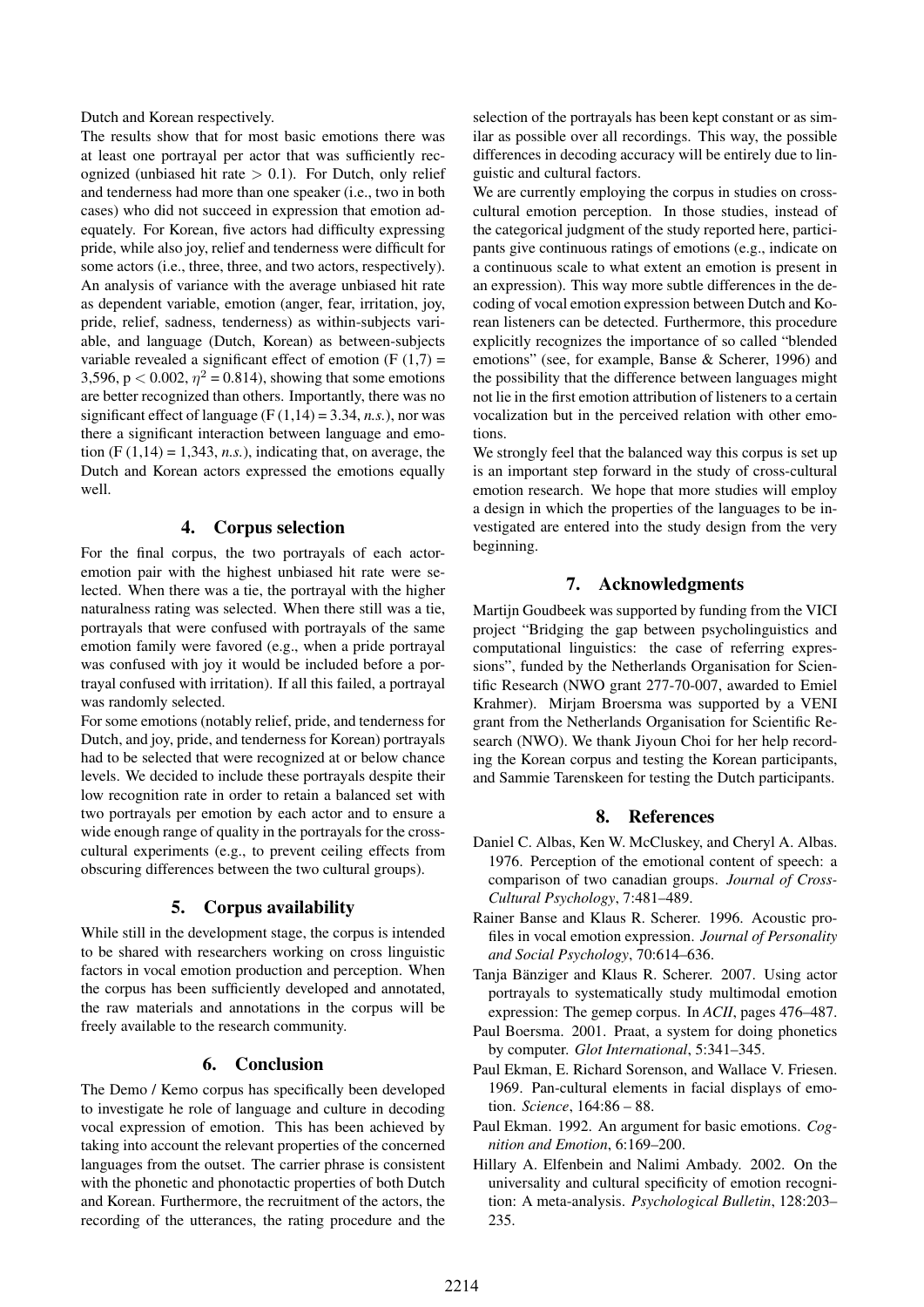Dutch and Korean respectively.

The results show that for most basic emotions there was at least one portrayal per actor that was sufficiently recognized (unbiased hit rate  $> 0.1$ ). For Dutch, only relief and tenderness had more than one speaker (i.e., two in both cases) who did not succeed in expression that emotion adequately. For Korean, five actors had difficulty expressing pride, while also joy, relief and tenderness were difficult for some actors (i.e., three, three, and two actors, respectively). An analysis of variance with the average unbiased hit rate as dependent variable, emotion (anger, fear, irritation, joy, pride, relief, sadness, tenderness) as within-subjects variable, and language (Dutch, Korean) as between-subjects variable revealed a significant effect of emotion  $(F(1,7)) =$ 3,596, p < 0.002,  $\eta^2 = 0.814$ ), showing that some emotions are better recognized than others. Importantly, there was no significant effect of language ( $F(1,14) = 3.34$ , *n.s.*), nor was there a significant interaction between language and emotion  $(F (1, 14) = 1,343, n.s.)$ , indicating that, on average, the Dutch and Korean actors expressed the emotions equally well.

## 4. Corpus selection

For the final corpus, the two portrayals of each actoremotion pair with the highest unbiased hit rate were selected. When there was a tie, the portrayal with the higher naturalness rating was selected. When there still was a tie, portrayals that were confused with portrayals of the same emotion family were favored (e.g., when a pride portrayal was confused with joy it would be included before a portrayal confused with irritation). If all this failed, a portrayal was randomly selected.

For some emotions (notably relief, pride, and tenderness for Dutch, and joy, pride, and tenderness for Korean) portrayals had to be selected that were recognized at or below chance levels. We decided to include these portrayals despite their low recognition rate in order to retain a balanced set with two portrayals per emotion by each actor and to ensure a wide enough range of quality in the portrayals for the crosscultural experiments (e.g., to prevent ceiling effects from obscuring differences between the two cultural groups).

### 5. Corpus availability

While still in the development stage, the corpus is intended to be shared with researchers working on cross linguistic factors in vocal emotion production and perception. When the corpus has been sufficiently developed and annotated, the raw materials and annotations in the corpus will be freely available to the research community.

### 6. Conclusion

The Demo / Kemo corpus has specifically been developed to investigate he role of language and culture in decoding vocal expression of emotion. This has been achieved by taking into account the relevant properties of the concerned languages from the outset. The carrier phrase is consistent with the phonetic and phonotactic properties of both Dutch and Korean. Furthermore, the recruitment of the actors, the recording of the utterances, the rating procedure and the selection of the portrayals has been kept constant or as similar as possible over all recordings. This way, the possible differences in decoding accuracy will be entirely due to linguistic and cultural factors.

We are currently employing the corpus in studies on crosscultural emotion perception. In those studies, instead of the categorical judgment of the study reported here, participants give continuous ratings of emotions (e.g., indicate on a continuous scale to what extent an emotion is present in an expression). This way more subtle differences in the decoding of vocal emotion expression between Dutch and Korean listeners can be detected. Furthermore, this procedure explicitly recognizes the importance of so called "blended emotions" (see, for example, Banse & Scherer, 1996) and the possibility that the difference between languages might not lie in the first emotion attribution of listeners to a certain vocalization but in the perceived relation with other emotions.

We strongly feel that the balanced way this corpus is set up is an important step forward in the study of cross-cultural emotion research. We hope that more studies will employ a design in which the properties of the languages to be investigated are entered into the study design from the very beginning.

## 7. Acknowledgments

Martijn Goudbeek was supported by funding from the VICI project "Bridging the gap between psycholinguistics and computational linguistics: the case of referring expressions", funded by the Netherlands Organisation for Scientific Research (NWO grant 277-70-007, awarded to Emiel Krahmer). Mirjam Broersma was supported by a VENI grant from the Netherlands Organisation for Scientific Research (NWO). We thank Jiyoun Choi for her help recording the Korean corpus and testing the Korean participants, and Sammie Tarenskeen for testing the Dutch participants.

## 8. References

- Daniel C. Albas, Ken W. McCluskey, and Cheryl A. Albas. 1976. Perception of the emotional content of speech: a comparison of two canadian groups. *Journal of Cross-Cultural Psychology*, 7:481–489.
- Rainer Banse and Klaus R. Scherer. 1996. Acoustic profiles in vocal emotion expression. *Journal of Personality and Social Psychology*, 70:614–636.
- Tanja Bänziger and Klaus R. Scherer. 2007. Using actor portrayals to systematically study multimodal emotion expression: The gemep corpus. In *ACII*, pages 476–487.
- Paul Boersma. 2001. Praat, a system for doing phonetics by computer. *Glot International*, 5:341–345.
- Paul Ekman, E. Richard Sorenson, and Wallace V. Friesen. 1969. Pan-cultural elements in facial displays of emotion. *Science*, 164:86 – 88.
- Paul Ekman. 1992. An argument for basic emotions. *Cognition and Emotion*, 6:169–200.
- Hillary A. Elfenbein and Nalimi Ambady. 2002. On the universality and cultural specificity of emotion recognition: A meta-analysis. *Psychological Bulletin*, 128:203– 235.